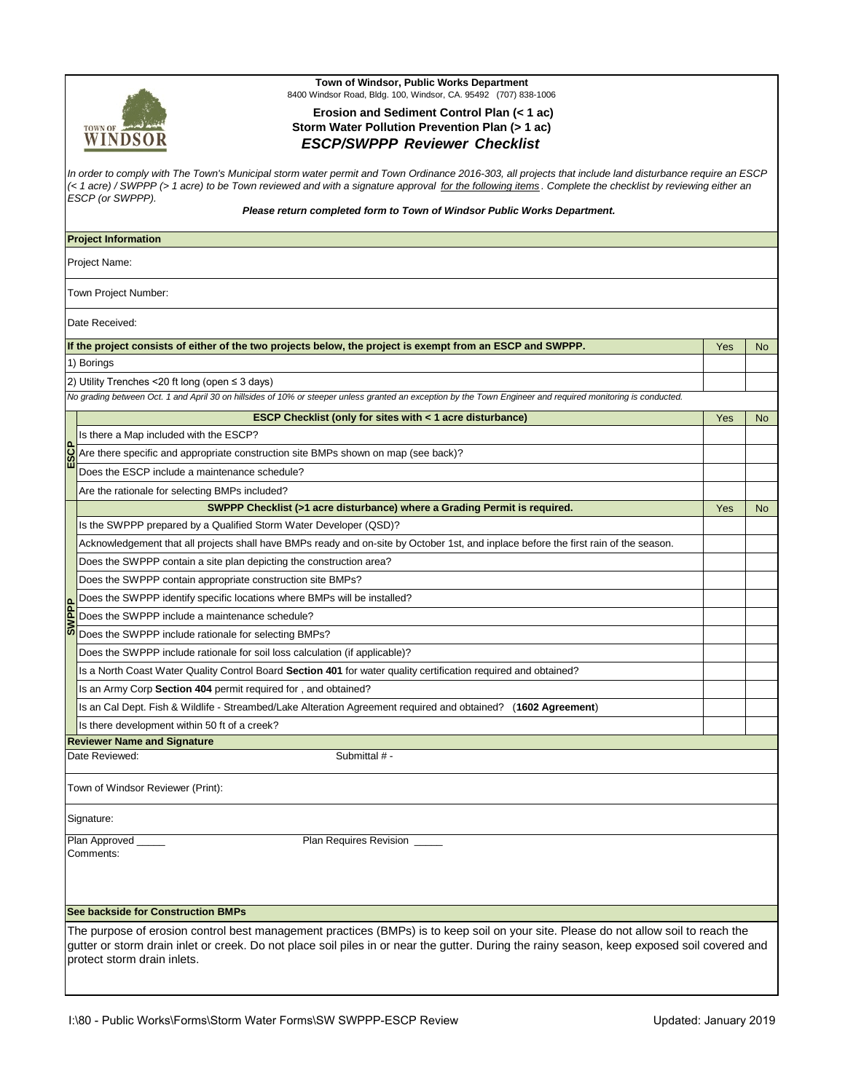

## **Town of Windsor, Public Works Department** 8400 Windsor Road, Bldg. 100, Windsor, CA. 95492 (707) 838-1006

## **Erosion and Sediment Control Plan (< 1 ac) Storm Water Pollution Prevention Plan (> 1 ac)**  *ESCP/SWPPP Reviewer Checklist*

| In order to comply with The Town's Municipal storm water permit and Town Ordinance 2016-303, all projects that include land disturbance require an ESCP<br>(< 1 acre) / SWPPP (> 1 acre) to be Town reviewed and with a signature approval for the following items. Complete the checklist by reviewing either an<br>ESCP (or SWPPP).<br>Please return completed form to Town of Windsor Public Works Department. |                                                                                                                                                                                                                                                                                                                   |     |                |  |  |  |
|-------------------------------------------------------------------------------------------------------------------------------------------------------------------------------------------------------------------------------------------------------------------------------------------------------------------------------------------------------------------------------------------------------------------|-------------------------------------------------------------------------------------------------------------------------------------------------------------------------------------------------------------------------------------------------------------------------------------------------------------------|-----|----------------|--|--|--|
|                                                                                                                                                                                                                                                                                                                                                                                                                   | <b>Project Information</b>                                                                                                                                                                                                                                                                                        |     |                |  |  |  |
|                                                                                                                                                                                                                                                                                                                                                                                                                   | Project Name:                                                                                                                                                                                                                                                                                                     |     |                |  |  |  |
|                                                                                                                                                                                                                                                                                                                                                                                                                   | Town Project Number:                                                                                                                                                                                                                                                                                              |     |                |  |  |  |
|                                                                                                                                                                                                                                                                                                                                                                                                                   | Date Received:                                                                                                                                                                                                                                                                                                    |     |                |  |  |  |
|                                                                                                                                                                                                                                                                                                                                                                                                                   | If the project consists of either of the two projects below, the project is exempt from an ESCP and SWPPP.                                                                                                                                                                                                        | Yes | N <sub>o</sub> |  |  |  |
|                                                                                                                                                                                                                                                                                                                                                                                                                   | 1) Borings                                                                                                                                                                                                                                                                                                        |     |                |  |  |  |
|                                                                                                                                                                                                                                                                                                                                                                                                                   | 2) Utility Trenches <20 ft long (open ≤ 3 days)                                                                                                                                                                                                                                                                   |     |                |  |  |  |
|                                                                                                                                                                                                                                                                                                                                                                                                                   | No grading between Oct. 1 and April 30 on hillsides of 10% or steeper unless granted an exception by the Town Engineer and required monitoring is conducted.                                                                                                                                                      |     |                |  |  |  |
|                                                                                                                                                                                                                                                                                                                                                                                                                   | <b>ESCP Checklist (only for sites with &lt; 1 acre disturbance)</b>                                                                                                                                                                                                                                               | Yes | <b>No</b>      |  |  |  |
|                                                                                                                                                                                                                                                                                                                                                                                                                   | Is there a Map included with the ESCP?                                                                                                                                                                                                                                                                            |     |                |  |  |  |
| 43S3                                                                                                                                                                                                                                                                                                                                                                                                              | Are there specific and appropriate construction site BMPs shown on map (see back)?                                                                                                                                                                                                                                |     |                |  |  |  |
|                                                                                                                                                                                                                                                                                                                                                                                                                   | Does the ESCP include a maintenance schedule?                                                                                                                                                                                                                                                                     |     |                |  |  |  |
|                                                                                                                                                                                                                                                                                                                                                                                                                   | Are the rationale for selecting BMPs included?                                                                                                                                                                                                                                                                    |     |                |  |  |  |
|                                                                                                                                                                                                                                                                                                                                                                                                                   | SWPPP Checklist (>1 acre disturbance) where a Grading Permit is required.                                                                                                                                                                                                                                         | Yes | <b>No</b>      |  |  |  |
|                                                                                                                                                                                                                                                                                                                                                                                                                   | Is the SWPPP prepared by a Qualified Storm Water Developer (QSD)?                                                                                                                                                                                                                                                 |     |                |  |  |  |
|                                                                                                                                                                                                                                                                                                                                                                                                                   | Acknowledgement that all projects shall have BMPs ready and on-site by October 1st, and inplace before the first rain of the season.                                                                                                                                                                              |     |                |  |  |  |
|                                                                                                                                                                                                                                                                                                                                                                                                                   | Does the SWPPP contain a site plan depicting the construction area?                                                                                                                                                                                                                                               |     |                |  |  |  |
|                                                                                                                                                                                                                                                                                                                                                                                                                   | Does the SWPPP contain appropriate construction site BMPs?                                                                                                                                                                                                                                                        |     |                |  |  |  |
|                                                                                                                                                                                                                                                                                                                                                                                                                   | Does the SWPPP identify specific locations where BMPs will be installed?                                                                                                                                                                                                                                          |     |                |  |  |  |
|                                                                                                                                                                                                                                                                                                                                                                                                                   | Does the SWPPP include a maintenance schedule?                                                                                                                                                                                                                                                                    |     |                |  |  |  |
|                                                                                                                                                                                                                                                                                                                                                                                                                   | Does the SWPPP include rationale for selecting BMPs?                                                                                                                                                                                                                                                              |     |                |  |  |  |
|                                                                                                                                                                                                                                                                                                                                                                                                                   | Does the SWPPP include rationale for soil loss calculation (if applicable)?                                                                                                                                                                                                                                       |     |                |  |  |  |
|                                                                                                                                                                                                                                                                                                                                                                                                                   | Is a North Coast Water Quality Control Board Section 401 for water quality certification required and obtained?                                                                                                                                                                                                   |     |                |  |  |  |
|                                                                                                                                                                                                                                                                                                                                                                                                                   | Is an Army Corp Section 404 permit required for, and obtained?                                                                                                                                                                                                                                                    |     |                |  |  |  |
|                                                                                                                                                                                                                                                                                                                                                                                                                   | Is an Cal Dept. Fish & Wildlife - Streambed/Lake Alteration Agreement required and obtained? (1602 Agreement)                                                                                                                                                                                                     |     |                |  |  |  |
|                                                                                                                                                                                                                                                                                                                                                                                                                   | Is there development within 50 ft of a creek?                                                                                                                                                                                                                                                                     |     |                |  |  |  |
|                                                                                                                                                                                                                                                                                                                                                                                                                   | <b>Reviewer Name and Signature</b>                                                                                                                                                                                                                                                                                |     |                |  |  |  |
|                                                                                                                                                                                                                                                                                                                                                                                                                   | Date Reviewed:<br>Submittal # -                                                                                                                                                                                                                                                                                   |     |                |  |  |  |
|                                                                                                                                                                                                                                                                                                                                                                                                                   | Town of Windsor Reviewer (Print):                                                                                                                                                                                                                                                                                 |     |                |  |  |  |
|                                                                                                                                                                                                                                                                                                                                                                                                                   | Signature:                                                                                                                                                                                                                                                                                                        |     |                |  |  |  |
|                                                                                                                                                                                                                                                                                                                                                                                                                   | Plan Approved<br>Plan Requires Revision _____<br>Comments:                                                                                                                                                                                                                                                        |     |                |  |  |  |
|                                                                                                                                                                                                                                                                                                                                                                                                                   | See backside for Construction BMPs                                                                                                                                                                                                                                                                                |     |                |  |  |  |
|                                                                                                                                                                                                                                                                                                                                                                                                                   | The purpose of erosion control best management practices (BMPs) is to keep soil on your site. Please do not allow soil to reach the<br>gutter or storm drain inlet or creek. Do not place soil piles in or near the gutter. During the rainy season, keep exposed soil covered and<br>protect storm drain inlets. |     |                |  |  |  |